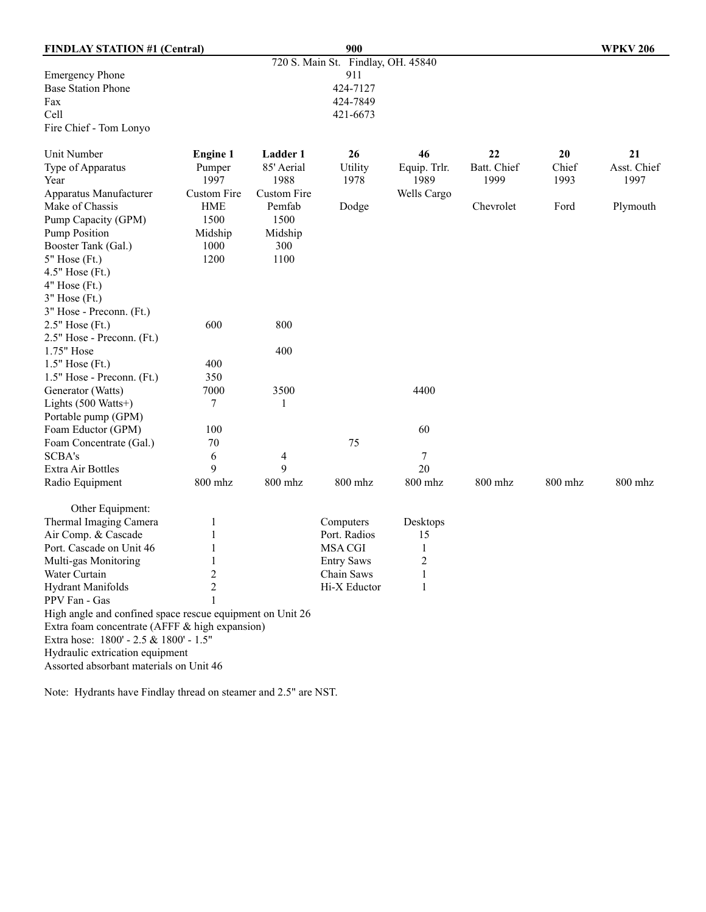| <b>FINDLAY STATION #1 (Central)</b>                       |                    |             | 900                                |                |             |         | <b>WPKV 206</b> |
|-----------------------------------------------------------|--------------------|-------------|------------------------------------|----------------|-------------|---------|-----------------|
|                                                           |                    |             | 720 S. Main St. Findlay, OH. 45840 |                |             |         |                 |
| <b>Emergency Phone</b>                                    |                    |             | 911                                |                |             |         |                 |
| <b>Base Station Phone</b>                                 |                    |             | 424-7127                           |                |             |         |                 |
| Fax                                                       |                    |             | 424-7849                           |                |             |         |                 |
| Cell                                                      |                    |             | 421-6673                           |                |             |         |                 |
| Fire Chief - Tom Lonyo                                    |                    |             |                                    |                |             |         |                 |
| Unit Number                                               | <b>Engine 1</b>    | Ladder 1    | 26                                 | 46             | 22          | 20      | 21              |
| Type of Apparatus                                         | Pumper             | 85' Aerial  | Utility                            | Equip. Trlr.   | Batt. Chief | Chief   | Asst. Chief     |
| Year                                                      | 1997               | 1988        | 1978                               | 1989           | 1999        | 1993    | 1997            |
| Apparatus Manufacturer                                    | <b>Custom Fire</b> | Custom Fire |                                    | Wells Cargo    |             |         |                 |
| Make of Chassis                                           | <b>HME</b>         | Pemfab      | Dodge                              |                | Chevrolet   | Ford    | Plymouth        |
| Pump Capacity (GPM)                                       | 1500               | 1500        |                                    |                |             |         |                 |
| <b>Pump Position</b>                                      | Midship            | Midship     |                                    |                |             |         |                 |
| Booster Tank (Gal.)                                       | 1000               | 300         |                                    |                |             |         |                 |
| $5"$ Hose (Ft.)                                           | 1200               | 1100        |                                    |                |             |         |                 |
| 4.5" Hose (Ft.)                                           |                    |             |                                    |                |             |         |                 |
| $4"$ Hose (Ft.)                                           |                    |             |                                    |                |             |         |                 |
| $3"$ Hose (Ft.)                                           |                    |             |                                    |                |             |         |                 |
| 3" Hose - Preconn. (Ft.)                                  |                    |             |                                    |                |             |         |                 |
| $2.5"$ Hose (Ft.)                                         | 600                | 800         |                                    |                |             |         |                 |
| 2.5" Hose - Preconn. (Ft.)                                |                    |             |                                    |                |             |         |                 |
| 1.75" Hose                                                |                    | 400         |                                    |                |             |         |                 |
| $1.5"$ Hose (Ft.)                                         | 400                |             |                                    |                |             |         |                 |
| 1.5" Hose - Preconn. (Ft.)                                | 350                |             |                                    |                |             |         |                 |
| Generator (Watts)                                         | 7000               | 3500        |                                    | 4400           |             |         |                 |
| Lights (500 Watts+)                                       | 7                  | 1           |                                    |                |             |         |                 |
| Portable pump (GPM)                                       |                    |             |                                    |                |             |         |                 |
| Foam Eductor (GPM)                                        | 100                |             |                                    | 60             |             |         |                 |
| Foam Concentrate (Gal.)                                   | 70                 |             | 75                                 |                |             |         |                 |
| SCBA's                                                    | 6                  | 4           |                                    | 7              |             |         |                 |
| Extra Air Bottles                                         | 9                  | 9           |                                    | 20             |             |         |                 |
| Radio Equipment                                           | 800 mhz            | 800 mhz     | 800 mhz                            | 800 mhz        | 800 mhz     | 800 mhz | $800$ mhz       |
| Other Equipment:                                          |                    |             |                                    |                |             |         |                 |
| Thermal Imaging Camera                                    | 1                  |             | Computers                          | Desktops       |             |         |                 |
| Air Comp. & Cascade                                       | 1                  |             | Port. Radios                       | 15             |             |         |                 |
| Port. Cascade on Unit 46                                  | 1                  |             | <b>MSA CGI</b>                     | $\mathbf{1}$   |             |         |                 |
| Multi-gas Monitoring                                      | 1                  |             | <b>Entry Saws</b>                  | $\overline{c}$ |             |         |                 |
| Water Curtain                                             | $\overline{c}$     |             | Chain Saws                         | 1              |             |         |                 |
| <b>Hydrant Manifolds</b>                                  | $\overline{c}$     |             | Hi-X Eductor                       | 1              |             |         |                 |
| PPV Fan - Gas                                             |                    |             |                                    |                |             |         |                 |
| High angle and confined space rescue equipment on Unit 26 |                    |             |                                    |                |             |         |                 |
| Extra foam concentrate (AFFF & high expansion)            |                    |             |                                    |                |             |         |                 |
| Extra hose: 1800' - 2.5 & 1800' - 1.5"                    |                    |             |                                    |                |             |         |                 |
| Hydraulic extrication equipment                           |                    |             |                                    |                |             |         |                 |
| Assorted absorbant materials on Unit 46                   |                    |             |                                    |                |             |         |                 |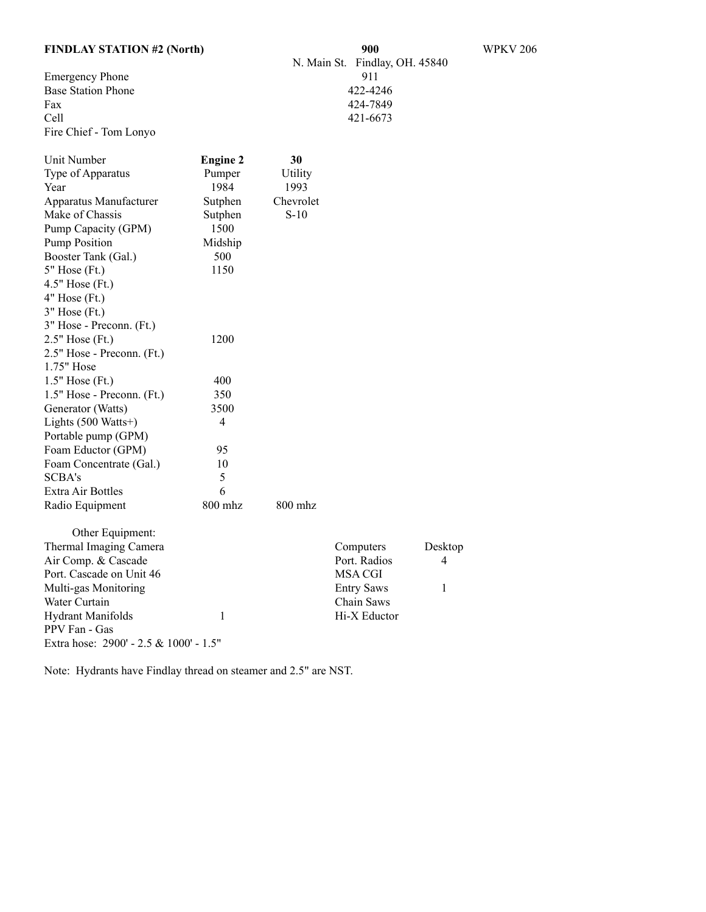|  | <b>FINDLAY STATION #2 (North)</b> |  |
|--|-----------------------------------|--|
|--|-----------------------------------|--|

Emergency Phone 911<br>Base Station Phone 422-4246 Base Station Phone<br>Fax Fax 424-7849<br>Cell 421-6673 Fire Chief - Tom Lonyo

| Unit Number                            | <b>Engine 2</b> | 30        |                   |         |
|----------------------------------------|-----------------|-----------|-------------------|---------|
| Type of Apparatus                      | Pumper          | Utility   |                   |         |
| Year                                   | 1984            | 1993      |                   |         |
| Apparatus Manufacturer                 | Sutphen         | Chevrolet |                   |         |
| Make of Chassis                        | Sutphen         | $S-10$    |                   |         |
| Pump Capacity (GPM)                    | 1500            |           |                   |         |
| <b>Pump Position</b>                   | Midship         |           |                   |         |
| Booster Tank (Gal.)                    | 500             |           |                   |         |
| 5" Hose (Ft.)                          | 1150            |           |                   |         |
| $4.5"$ Hose (Ft.)                      |                 |           |                   |         |
| $4"$ Hose (Ft.)                        |                 |           |                   |         |
| $3"$ Hose (Ft.)                        |                 |           |                   |         |
| 3" Hose - Preconn. (Ft.)               |                 |           |                   |         |
| 2.5" Hose (Ft.)                        | 1200            |           |                   |         |
| 2.5" Hose - Preconn. (Ft.)             |                 |           |                   |         |
| 1.75" Hose                             |                 |           |                   |         |
| $1.5"$ Hose (Ft.)                      | 400             |           |                   |         |
| 1.5" Hose - Preconn. (Ft.)             | 350             |           |                   |         |
| Generator (Watts)                      | 3500            |           |                   |         |
| Lights (500 Watts+)                    | 4               |           |                   |         |
| Portable pump (GPM)                    |                 |           |                   |         |
| Foam Eductor (GPM)                     | 95              |           |                   |         |
| Foam Concentrate (Gal.)                | 10              |           |                   |         |
| <b>SCBA's</b>                          | 5               |           |                   |         |
| Extra Air Bottles                      | 6               |           |                   |         |
| Radio Equipment                        | 800 mhz         | 800 mhz   |                   |         |
| Other Equipment:                       |                 |           |                   |         |
| Thermal Imaging Camera                 |                 |           | Computers         | Desktop |
| Air Comp. & Cascade                    |                 |           | Port. Radios      | 4       |
| Port. Cascade on Unit 46               |                 |           | <b>MSA CGI</b>    |         |
| Multi-gas Monitoring                   |                 |           | <b>Entry Saws</b> | 1       |
| Water Curtain                          |                 |           | Chain Saws        |         |
| <b>Hydrant Manifolds</b>               | 1               |           | Hi-X Eductor      |         |
| PPV Fan - Gas                          |                 |           |                   |         |
| Extra hose: 2900' - 2.5 & 1000' - 1.5" |                 |           |                   |         |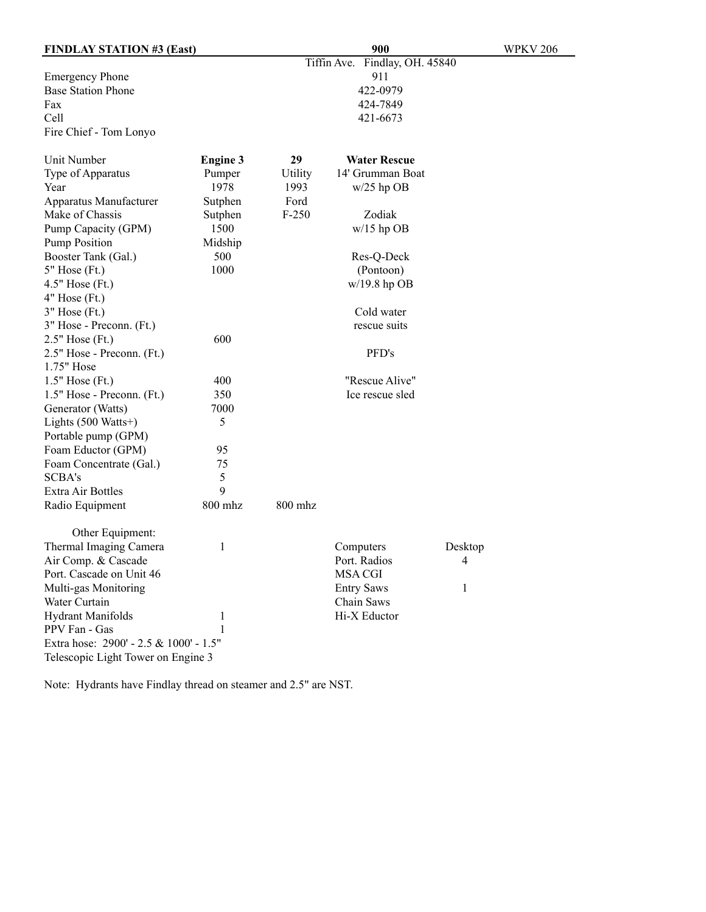| <b>FINDLAY STATION #3 (East)</b>       |                 |         | <b>WPKV 206</b>                |         |
|----------------------------------------|-----------------|---------|--------------------------------|---------|
|                                        |                 |         | Tiffin Ave. Findlay, OH. 45840 |         |
| <b>Emergency Phone</b>                 |                 |         | 911                            |         |
| <b>Base Station Phone</b>              |                 |         | 422-0979                       |         |
| Fax                                    |                 |         | 424-7849                       |         |
| Cell                                   |                 |         | 421-6673                       |         |
| Fire Chief - Tom Lonyo                 |                 |         |                                |         |
| Unit Number                            | <b>Engine 3</b> | 29      | <b>Water Rescue</b>            |         |
| Type of Apparatus                      | Pumper          | Utility | 14' Grumman Boat               |         |
| Year                                   | 1978            | 1993    | $w/25$ hp OB                   |         |
| Apparatus Manufacturer                 | Sutphen         | Ford    |                                |         |
| Make of Chassis                        | Sutphen         | $F-250$ | Zodiak                         |         |
| Pump Capacity (GPM)                    | 1500            |         | $w/15$ hp OB                   |         |
| <b>Pump Position</b>                   | Midship         |         |                                |         |
| Booster Tank (Gal.)                    | 500             |         | Res-Q-Deck                     |         |
| $5"$ Hose $(Fit.)$                     | 1000            |         | (Pontoon)                      |         |
| 4.5" Hose (Ft.)                        |                 |         | $w/19.8$ hp OB                 |         |
| $4"$ Hose (Ft.)                        |                 |         |                                |         |
| $3"$ Hose (Ft.)                        |                 |         | Cold water                     |         |
| 3" Hose - Preconn. (Ft.)               |                 |         | rescue suits                   |         |
| 2.5" Hose (Ft.)                        | 600             |         |                                |         |
| 2.5" Hose - Preconn. (Ft.)             |                 |         | PFD's                          |         |
| 1.75" Hose                             |                 |         |                                |         |
| $1.5"$ Hose (Ft.)                      | 400             |         | "Rescue Alive"                 |         |
| 1.5" Hose - Preconn. (Ft.)             | 350             |         | Ice rescue sled                |         |
| Generator (Watts)                      | 7000            |         |                                |         |
| Lights (500 Watts+)                    | 5               |         |                                |         |
| Portable pump (GPM)                    |                 |         |                                |         |
| Foam Eductor (GPM)                     | 95              |         |                                |         |
| Foam Concentrate (Gal.)                | 75              |         |                                |         |
| <b>SCBA's</b>                          | 5               |         |                                |         |
| Extra Air Bottles                      | 9               |         |                                |         |
| Radio Equipment                        | 800 mhz         | 800 mhz |                                |         |
| Other Equipment:                       |                 |         |                                |         |
| Thermal Imaging Camera                 | 1               |         | Computers                      | Desktop |
| Air Comp. & Cascade                    |                 |         | Port. Radios                   | 4       |
| Port. Cascade on Unit 46               |                 |         | <b>MSA CGI</b>                 |         |
| Multi-gas Monitoring                   |                 |         | <b>Entry Saws</b>              | 1       |
| Water Curtain                          |                 |         | Chain Saws                     |         |
| <b>Hydrant Manifolds</b>               | 1               |         | Hi-X Eductor                   |         |
| PPV Fan - Gas                          | 1               |         |                                |         |
| Extra hose: 2900' - 2.5 & 1000' - 1.5" |                 |         |                                |         |
| Telescopic Light Tower on Engine 3     |                 |         |                                |         |
|                                        |                 |         |                                |         |